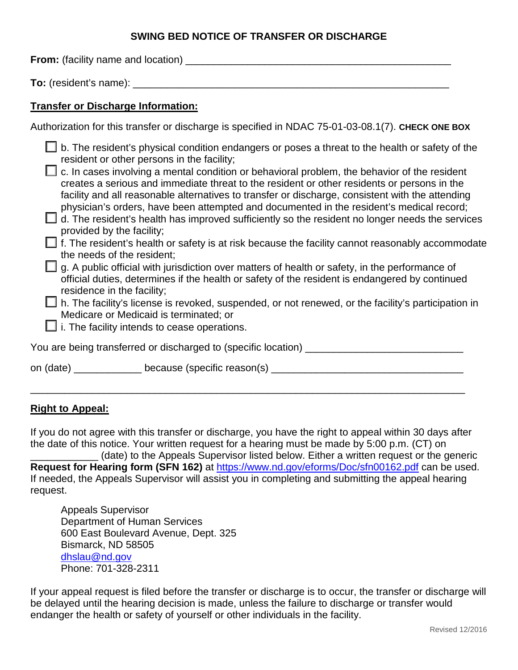## **SWING BED NOTICE OF TRANSFER OR DISCHARGE**

**From:** (facility name and location) \_\_\_\_\_\_\_\_\_\_\_\_\_\_\_\_\_\_\_\_\_\_\_\_\_\_\_\_\_\_\_\_\_\_\_\_\_\_\_\_\_\_\_\_\_\_\_

**To:** (resident's name): \_\_\_\_\_\_\_\_\_\_\_\_\_\_\_\_\_\_\_\_\_\_\_\_\_\_\_\_\_\_\_\_\_\_\_\_\_\_\_\_\_\_\_\_\_\_\_\_\_\_\_\_\_\_\_\_

# **Transfer or Discharge Information:**

| Authorization for this transfer or discharge is specified in NDAC 75-01-03-08.1(7). CHECK ONE BOX |  |  |
|---------------------------------------------------------------------------------------------------|--|--|
|                                                                                                   |  |  |

|                                                          | b. The resident's physical condition endangers or poses a threat to the health or safety of the                                                                                                                                                                                                                                                                                                                                                                                                                                              |
|----------------------------------------------------------|----------------------------------------------------------------------------------------------------------------------------------------------------------------------------------------------------------------------------------------------------------------------------------------------------------------------------------------------------------------------------------------------------------------------------------------------------------------------------------------------------------------------------------------------|
| provided by the facility;                                | resident or other persons in the facility;<br>c. In cases involving a mental condition or behavioral problem, the behavior of the resident<br>creates a serious and immediate threat to the resident or other residents or persons in the<br>facility and all reasonable alternatives to transfer or discharge, consistent with the attending<br>physician's orders, have been attempted and documented in the resident's medical record;<br>d. The resident's health has improved sufficiently so the resident no longer needs the services |
| the needs of the resident;<br>residence in the facility; | f. The resident's health or safety is at risk because the facility cannot reasonably accommodate<br>g. A public official with jurisdiction over matters of health or safety, in the performance of<br>official duties, determines if the health or safety of the resident is endangered by continued<br>h. The facility's license is revoked, suspended, or not renewed, or the facility's participation in<br>Medicare or Medicaid is terminated; or                                                                                        |
|                                                          | $\Box$ i. The facility intends to cease operations.                                                                                                                                                                                                                                                                                                                                                                                                                                                                                          |
|                                                          | You are being transferred or discharged to (specific location) _                                                                                                                                                                                                                                                                                                                                                                                                                                                                             |
|                                                          | on (date) ____________ because (specific reason(s) ___                                                                                                                                                                                                                                                                                                                                                                                                                                                                                       |

## **Right to Appeal:**

If you do not agree with this transfer or discharge, you have the right to appeal within 30 days after the date of this notice. Your written request for a hearing must be made by 5:00 p.m. (CT) on

\_\_\_\_\_\_\_\_\_\_\_\_\_\_\_\_\_\_\_\_\_\_\_\_\_\_\_\_\_\_\_\_\_\_\_\_\_\_\_\_\_\_\_\_\_\_\_\_\_\_\_\_\_\_\_\_\_\_\_\_\_\_\_\_\_\_\_\_\_\_\_\_\_\_\_\_\_

\_\_\_\_\_\_\_\_\_\_\_\_ (date) to the Appeals Supervisor listed below. Either a written request or the generic **Request for Hearing form (SFN 162)** at <https://www.nd.gov/eforms/Doc/sfn00162.pdf> can be used. If needed, the Appeals Supervisor will assist you in completing and submitting the appeal hearing request.

Appeals Supervisor Department of Human Services 600 East Boulevard Avenue, Dept. 325 Bismarck, ND 58505 [dhslau@nd.gov](mailto:dhslau@nd.gov) Phone: 701-328-2311

If your appeal request is filed before the transfer or discharge is to occur, the transfer or discharge will be delayed until the hearing decision is made, unless the failure to discharge or transfer would endanger the health or safety of yourself or other individuals in the facility.